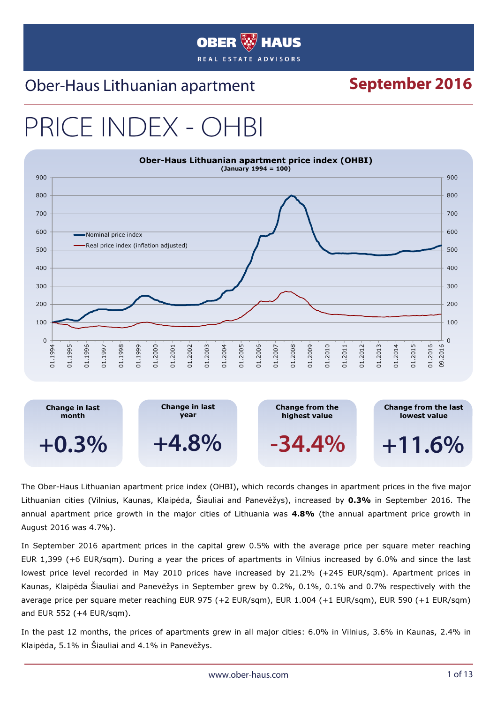#### **OBER HAUS** REAL ESTATE ADVISORS

#### Ober-Haus Lithuanian apartment **September 2016**

# PRICE INDEX -



The Ober-Haus Lithuanian apartment price index (OHBI), which records changes in apartment prices in the five major Lithuanian cities (Vilnius, Kaunas, Klaipėda, Šiauliai and Panevėžys), increased by 0.3% in September 2016. The annual apartment price growth in the major cities of Lithuania was 4.8% (the annual apartment price growth in August 2016 was 4.7%).

In September 2016 apartment prices in the capital grew 0.5% with the average price per square meter reaching EUR 1,399 (+6 EUR/sqm). During a year the prices of apartments in Vilnius increased by 6.0% and since the last lowest price level recorded in May 2010 prices have increased by 21.2% (+245 EUR/sqm). Apartment prices in Kaunas, Klaipėda Šiauliai and Panevėžys in September grew by 0.2%, 0.1%, 0.1% and 0.7% respectively with the average price per square meter reaching EUR 975 (+2 EUR/sqm), EUR 1.004 (+1 EUR/sqm), EUR 590 (+1 EUR/sqm) and EUR 552 (+4 EUR/sqm).

In the past 12 months, the prices of apartments grew in all major cities: 6.0% in Vilnius, 3.6% in Kaunas, 2.4% in Klaipėda, 5.1% in Šiauliai and 4.1% in Panevėžys.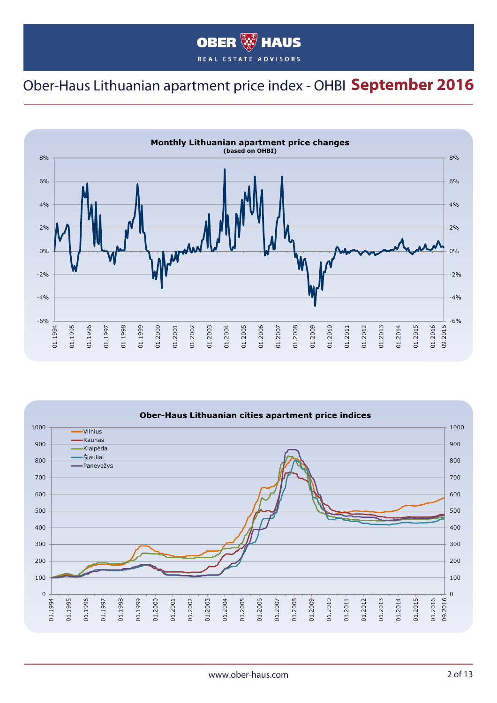#### **OBER WHAUS** REAL ESTATE ADVISORS

#### Ober-Haus Lithuanian apartment price index - OHBI **September 2016**



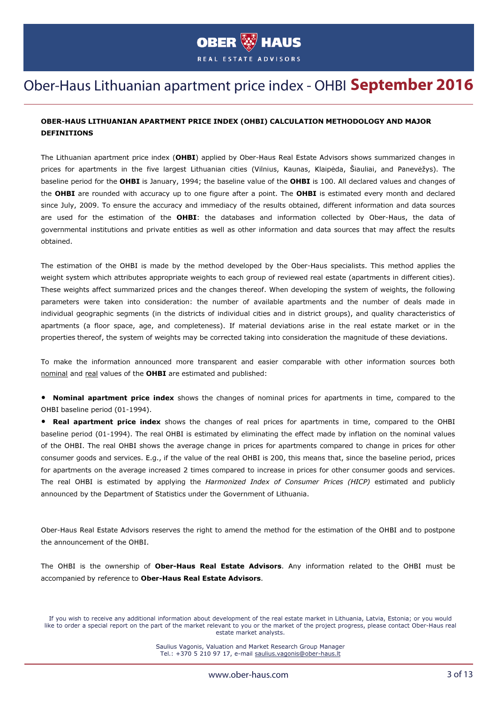

#### Ober-Haus Lithuanian apartment price index - OHBI **September 2016**

#### OBER-HAUS LITHUANIAN APARTMENT PRICE INDEX (OHBI) CALCULATION METHODOLOGY AND MAJOR DEFINITIONS

The Lithuanian apartment price index (OHBI) applied by Ober-Haus Real Estate Advisors shows summarized changes in prices for apartments in the five largest Lithuanian cities (Vilnius, Kaunas, Klaipėda, Šiauliai, and Panevėžys). The baseline period for the OHBI is January, 1994; the baseline value of the OHBI is 100. All declared values and changes of the OHBI are rounded with accuracy up to one figure after a point. The OHBI is estimated every month and declared since July, 2009. To ensure the accuracy and immediacy of the results obtained, different information and data sources are used for the estimation of the OHBI: the databases and information collected by Ober-Haus, the data of governmental institutions and private entities as well as other information and data sources that may affect the results obtained.

The estimation of the OHBI is made by the method developed by the Ober-Haus specialists. This method applies the weight system which attributes appropriate weights to each group of reviewed real estate (apartments in different cities). These weights affect summarized prices and the changes thereof. When developing the system of weights, the following parameters were taken into consideration: the number of available apartments and the number of deals made in individual geographic segments (in the districts of individual cities and in district groups), and quality characteristics of apartments (a floor space, age, and completeness). If material deviations arise in the real estate market or in the properties thereof, the system of weights may be corrected taking into consideration the magnitude of these deviations.

To make the information announced more transparent and easier comparable with other information sources both nominal and real values of the OHBI are estimated and published:

• Nominal apartment price index shows the changes of nominal prices for apartments in time, compared to the OHBI baseline period (01-1994).

• Real apartment price index shows the changes of real prices for apartments in time, compared to the OHBI baseline period (01-1994). The real OHBI is estimated by eliminating the effect made by inflation on the nominal values of the OHBI. The real OHBI shows the average change in prices for apartments compared to change in prices for other consumer goods and services. E.g., if the value of the real OHBI is 200, this means that, since the baseline period, prices for apartments on the average increased 2 times compared to increase in prices for other consumer goods and services. The real OHBI is estimated by applying the *Harmonized Index of Consumer Prices (HICP)* estimated and publicly announced by the Department of Statistics under the Government of Lithuania.

Ober-Haus Real Estate Advisors reserves the right to amend the method for the estimation of the OHBI and to postpone the announcement of the OHBI.

The OHBI is the ownership of Ober-Haus Real Estate Advisors. Any information related to the OHBI must be accompanied by reference to Ober-Haus Real Estate Advisors.

Saulius Vagonis, Valuation and Market Research Group Manager Tel.: +370 5 210 97 17, e-mail saulius.vagonis@ober-haus.lt

If you wish to receive any additional information about development of the real estate market in Lithuania, Latvia, Estonia; or you would like to order a special report on the part of the market relevant to you or the market of the project progress, please contact Ober-Haus real estate market analysts.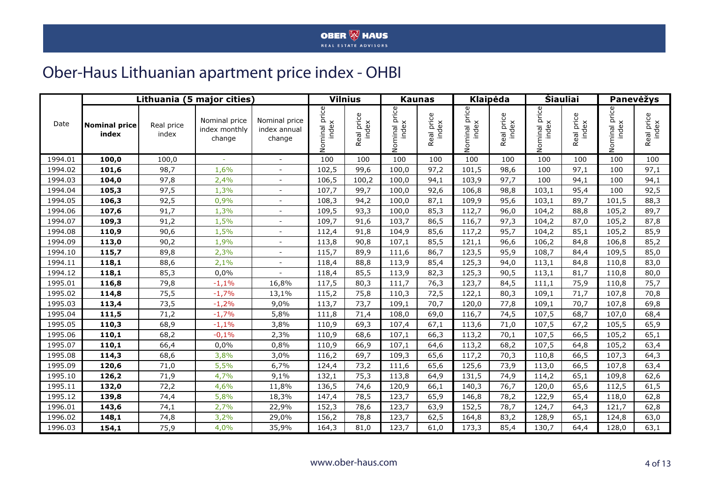#### **OBER WE HAUS**

#### Ober-Haus Lithuanian apartment price index - OHBI

|         |                               |                     | Lithuania (5 major cities)               |                                         |                        | <b>Vilnius</b>             |                        | <b>Kaunas</b>       |                        | <b>Klaipėda</b>     |                        | <b>Siauliai</b>     |                        | Panevėžys           |
|---------|-------------------------------|---------------------|------------------------------------------|-----------------------------------------|------------------------|----------------------------|------------------------|---------------------|------------------------|---------------------|------------------------|---------------------|------------------------|---------------------|
| Date    | <b>Nominal price</b><br>index | Real price<br>index | Nominal price<br>index monthly<br>change | Nominal price<br>index annual<br>change | Nominal price<br>index | eal price<br>index<br>Real | Nominal price<br>index | Real price<br>index | Nominal price<br>index | Real price<br>index | Nominal price<br>index | Real price<br>index | Nominal price<br>index | Real price<br>index |
| 1994.01 | 100,0                         | 100,0               |                                          |                                         | 100                    | 100                        | 100                    | 100                 | 100                    | 100                 | 100                    | 100                 | 100                    | 100                 |
| 1994.02 | 101,6                         | 98,7                | 1,6%                                     |                                         | 102,5                  | 99,6                       | 100,0                  | 97,2                | 101,5                  | 98,6                | 100                    | 97,1                | 100                    | 97,1                |
| 1994.03 | 104,0                         | 97,8                | 2,4%                                     |                                         | 106,5                  | 100,2                      | 100,0                  | 94,1                | 103,9                  | 97,7                | 100                    | 94,1                | 100                    | 94,1                |
| 1994.04 | 105,3                         | 97,5                | 1,3%                                     |                                         | 107,7                  | 99,7                       | 100,0                  | 92,6                | 106,8                  | 98,8                | 103,1                  | 95,4                | 100                    | 92,5                |
| 1994.05 | 106,3                         | 92,5                | 0,9%                                     | $\overline{\phantom{a}}$                | 108,3                  | 94,2                       | 100,0                  | 87,1                | 109,9                  | 95,6                | 103,1                  | 89,7                | 101,5                  | 88,3                |
| 1994.06 | 107,6                         | 91,7                | 1,3%                                     | $\blacksquare$                          | 109,5                  | 93,3                       | 100,0                  | 85,3                | 112,7                  | 96,0                | 104,2                  | 88,8                | 105,2                  | 89,7                |
| 1994.07 | 109,3                         | 91,2                | 1,5%                                     |                                         | 109,7                  | 91,6                       | 103,7                  | 86,5                | 116,7                  | 97,3                | 104,2                  | 87,0                | 105,2                  | 87,8                |
| 1994.08 | 110,9                         | 90,6                | 1,5%                                     |                                         | 112,4                  | 91,8                       | 104,9                  | 85,6                | 117,2                  | 95,7                | 104,2                  | 85,1                | 105,2                  | 85,9                |
| 1994.09 | 113,0                         | 90,2                | 1,9%                                     | $\overline{\phantom{a}}$                | 113,8                  | 90,8                       | 107,1                  | 85,5                | 121,1                  | 96,6                | 106,2                  | 84,8                | 106,8                  | 85,2                |
| 1994.10 | 115,7                         | 89,8                | 2,3%                                     | $\blacksquare$                          | 115,7                  | 89,9                       | 111,6                  | 86,7                | 123,5                  | 95,9                | 108,7                  | 84,4                | 109,5                  | 85,0                |
| 1994.11 | 118,1                         | 88,6                | 2,1%                                     |                                         | 118,4                  | 88,8                       | 113,9                  | 85,4                | 125,3                  | 94,0                | 113,1                  | 84,8                | 110,8                  | 83,0                |
| 1994.12 | 118,1                         | 85,3                | 0,0%                                     |                                         | 118,4                  | 85,5                       | 113,9                  | 82,3                | 125,3                  | 90,5                | 113,1                  | 81,7                | 110,8                  | 80,0                |
| 1995.01 | 116,8                         | 79,8                | $-1,1%$                                  | 16,8%                                   | 117,5                  | 80,3                       | 111,7                  | 76,3                | 123,7                  | 84,5                | 111,1                  | 75,9                | 110,8                  | 75,7                |
| 1995.02 | 114,8                         | 75,5                | $-1,7%$                                  | 13,1%                                   | 115,2                  | 75,8                       | 110,3                  | 72,5                | 122,1                  | 80,3                | 109,1                  | 71,7                | 107,8                  | 70,8                |
| 1995.03 | 113,4                         | 73,5                | $-1,2%$                                  | 9,0%                                    | 113,7                  | 73,7                       | 109,1                  | 70,7                | 120,0                  | 77,8                | 109,1                  | 70,7                | 107,8                  | 69,8                |
| 1995.04 | 111,5                         | 71,2                | $-1,7%$                                  | 5,8%                                    | 111,8                  | 71,4                       | 108,0                  | 69,0                | 116,7                  | 74,5                | 107,5                  | 68,7                | 107,0                  | 68,4                |
| 1995.05 | 110,3                         | 68,9                | $-1,1%$                                  | 3,8%                                    | 110,9                  | 69,3                       | 107,4                  | 67,1                | 113,6                  | 71,0                | 107,5                  | 67,2                | 105,5                  | 65,9                |
| 1995.06 | 110,1                         | 68,2                | $-0,1%$                                  | 2,3%                                    | 110,9                  | 68,6                       | 107,1                  | 66,3                | 113,2                  | 70,1                | 107,5                  | 66,5                | 105,2                  | 65,1                |
| 1995.07 | 110,1                         | 66,4                | 0,0%                                     | 0,8%                                    | 110,9                  | 66,9                       | 107,1                  | 64,6                | 113,2                  | 68,2                | 107,5                  | 64,8                | 105,2                  | 63,4                |
| 1995.08 | 114,3                         | 68,6                | 3,8%                                     | 3,0%                                    | 116,2                  | 69,7                       | 109,3                  | 65,6                | 117,2                  | 70,3                | 110,8                  | 66,5                | 107,3                  | 64,3                |
| 1995.09 | 120,6                         | 71,0                | 5,5%                                     | 6,7%                                    | 124,4                  | 73,2                       | 111,6                  | 65,6                | 125,6                  | 73,9                | 113,0                  | 66,5                | 107,8                  | 63,4                |
| 1995.10 | 126,2                         | 71,9                | 4,7%                                     | 9,1%                                    | 132,1                  | 75,3                       | 113,8                  | 64,9                | 131,5                  | 74,9                | 114,2                  | 65,1                | 109,8                  | 62,6                |
| 1995.11 | 132,0                         | 72,2                | 4,6%                                     | 11,8%                                   | 136,5                  | 74,6                       | 120,9                  | 66,1                | 140,3                  | 76,7                | 120,0                  | 65,6                | 112,5                  | 61,5                |
| 1995.12 | 139,8                         | 74,4                | 5,8%                                     | 18,3%                                   | 147,4                  | 78,5                       | 123,7                  | 65,9                | 146,8                  | 78,2                | 122,9                  | 65,4                | 118,0                  | 62,8                |
| 1996.01 | 143,6                         | 74,1                | 2,7%                                     | 22,9%                                   | 152,3                  | 78,6                       | 123,7                  | 63,9                | 152,5                  | 78,7                | 124,7                  | 64,3                | 121,7                  | 62,8                |
| 1996.02 | 148,1                         | 74,8                | 3,2%                                     | 29,0%                                   | 156,2                  | 78,8                       | 123,7                  | 62,5                | 164,8                  | 83,2                | 128,9                  | 65,1                | 124,8                  | 63,0                |
| 1996.03 | 154,1                         | 75,9                | 4,0%                                     | 35,9%                                   | 164,3                  | 81,0                       | 123,7                  | 61,0                | 173,3                  | 85,4                | 130,7                  | 64,4                | 128,0                  | 63,1                |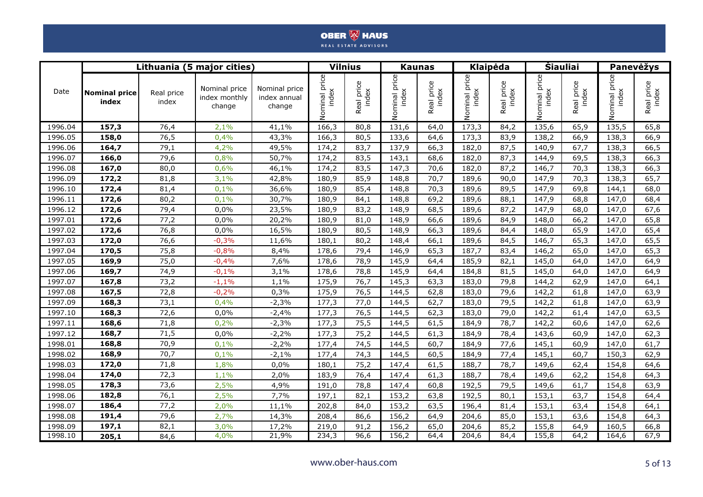|         |                               |                     | Lithuania (5 major cities)               |                                         |                        | <b>Vilnius</b>         |                        | <b>Kaunas</b>       | <b>Klaipėda</b>        |                     |                        | <b>Siauliai</b>     |                        | Panevėžys           |
|---------|-------------------------------|---------------------|------------------------------------------|-----------------------------------------|------------------------|------------------------|------------------------|---------------------|------------------------|---------------------|------------------------|---------------------|------------------------|---------------------|
| Date    | <b>Nominal price</b><br>index | Real price<br>index | Nominal price<br>index monthly<br>change | Nominal price<br>index annual<br>change | Nominal price<br>index | price<br>index<br>Real | Nominal price<br>index | Real price<br>index | Nominal price<br>index | Real price<br>index | Nominal price<br>index | Real price<br>index | Nominal price<br>index | Real price<br>index |
| 1996.04 | 157,3                         | 76,4                | 2,1%                                     | 41,1%                                   | 166,3                  | 80,8                   | 131,6                  | 64,0                | 173,3                  | 84,2                | 135,6                  | 65,9                | 135,5                  | 65,8                |
| 1996.05 | 158,0                         | 76,5                | 0,4%                                     | 43,3%                                   | 166,3                  | 80,5                   | 133,6                  | 64,6                | 173,3                  | 83,9                | 138,2                  | 66,9                | 138,3                  | 66,9                |
| 1996.06 | 164,7                         | 79,1                | 4,2%                                     | 49,5%                                   | 174,2                  | 83,7                   | 137,9                  | 66,3                | 182,0                  | 87,5                | 140,9                  | 67,7                | 138,3                  | 66,5                |
| 1996.07 | 166,0                         | 79,6                | 0,8%                                     | 50,7%                                   | 174,2                  | 83,5                   | 143,1                  | 68,6                | 182,0                  | 87,3                | 144,9                  | 69,5                | 138,3                  | 66,3                |
| 1996.08 | 167,0                         | 80,0                | 0,6%                                     | 46,1%                                   | 174,2                  | 83,5                   | 147,3                  | 70,6                | 182,0                  | 87,2                | 146,7                  | 70,3                | 138,3                  | 66,3                |
| 1996.09 | 172,2                         | 81,8                | 3,1%                                     | 42,8%                                   | 180,9                  | 85,9                   | 148,8                  | 70,7                | 189,6                  | 90,0                | 147,9                  | 70,3                | 138,3                  | 65,7                |
| 1996.10 | 172,4                         | 81,4                | 0,1%                                     | 36,6%                                   | 180,9                  | 85,4                   | 148,8                  | 70,3                | 189,6                  | 89,5                | 147,9                  | 69,8                | 144,1                  | 68,0                |
| 1996.11 | 172,6                         | 80,2                | 0,1%                                     | 30,7%                                   | 180,9                  | 84,1                   | 148,8                  | 69,2                | 189,6                  | 88,1                | 147,9                  | 68,8                | 147,0                  | 68,4                |
| 1996.12 | 172,6                         | 79,4                | 0,0%                                     | 23,5%                                   | 180,9                  | 83,2                   | 148,9                  | 68,5                | 189,6                  | 87,2                | 147,9                  | 68,0                | 147,0                  | 67,6                |
| 1997.01 | 172,6                         | 77,2                | 0,0%                                     | 20,2%                                   | 180,9                  | 81,0                   | 148,9                  | 66,6                | 189,6                  | 84,9                | 148,0                  | 66,2                | 147,0                  | 65,8                |
| 1997.02 | 172,6                         | 76,8                | 0,0%                                     | 16,5%                                   | 180,9                  | 80,5                   | 148,9                  | 66,3                | 189,6                  | 84,4                | 148,0                  | 65,9                | 147,0                  | 65,4                |
| 1997.03 | 172,0                         | 76,6                | $-0,3%$                                  | 11,6%                                   | 180,1                  | 80,2                   | 148,4                  | 66,1                | 189,6                  | 84,5                | 146,7                  | 65,3                | 147,0                  | 65,5                |
| 1997.04 | 170,5                         | 75,8                | $-0,8%$                                  | 8,4%                                    | 178,6                  | 79,4                   | 146,9                  | 65,3                | 187,7                  | 83,4                | 146,2                  | 65,0                | 147,0                  | 65,3                |
| 1997.05 | 169,9                         | 75,0                | $-0,4%$                                  | 7,6%                                    | 178,6                  | 78,9                   | 145,9                  | 64,4                | 185,9                  | 82,1                | 145,0                  | 64,0                | 147,0                  | 64,9                |
| 1997.06 | 169,7                         | 74,9                | $-0,1%$                                  | 3,1%                                    | 178,6                  | 78,8                   | 145,9                  | 64,4                | 184,8                  | 81,5                | 145,0                  | 64,0                | 147,0                  | 64,9                |
| 1997.07 | 167,8                         | 73,2                | $-1,1%$                                  | 1,1%                                    | 175,9                  | 76,7                   | 145,3                  | 63,3                | 183,0                  | 79,8                | 144,2                  | 62,9                | 147,0                  | 64,1                |
| 1997.08 | 167,5                         | 72,8                | $-0,2%$                                  | 0,3%                                    | 175,9                  | 76,5                   | 144,5                  | 62,8                | 183,0                  | 79,6                | 142,2                  | 61,8                | 147,0                  | 63,9                |
| 1997.09 | 168,3                         | 73,1                | 0,4%                                     | $-2,3%$                                 | 177,3                  | 77,0                   | 144,5                  | 62,7                | 183,0                  | 79,5                | 142,2                  | 61,8                | 147,0                  | 63,9                |
| 1997.10 | 168,3                         | 72,6                | 0,0%                                     | $-2,4%$                                 | 177,3                  | 76,5                   | 144,5                  | 62,3                | 183,0                  | 79,0                | 142,2                  | 61,4                | 147,0                  | 63,5                |
| 1997.11 | 168,6                         | 71,8                | 0,2%                                     | $-2,3%$                                 | 177,3                  | 75,5                   | 144,5                  | 61,5                | 184,9                  | 78,7                | 142,2                  | 60,6                | 147,0                  | 62,6                |
| 1997.12 | 168,7                         | 71,5                | 0,0%                                     | $-2,2%$                                 | 177,3                  | 75,2                   | 144,5                  | 61,3                | 184,9                  | 78,4                | 143,6                  | 60,9                | 147,0                  | 62,3                |
| 1998.01 | 168,8                         | 70,9                | 0,1%                                     | $-2,2%$                                 | 177,4                  | 74,5                   | 144,5                  | 60,7                | 184,9                  | 77,6                | 145,1                  | 60,9                | 147,0                  | 61,7                |
| 1998.02 | 168,9                         | 70,7                | 0,1%                                     | $-2,1%$                                 | 177,4                  | 74,3                   | 144,5                  | 60,5                | 184,9                  | 77,4                | 145,1                  | 60,7                | 150,3                  | 62,9                |
| 1998.03 | 172,0                         | 71,8                | 1,8%                                     | 0,0%                                    | 180,1                  | 75,2                   | 147,4                  | 61,5                | 188,7                  | 78,7                | 149,6                  | 62,4                | 154,8                  | 64,6                |
| 1998.04 | 174,0                         | 72,3                | 1,1%                                     | 2,0%                                    | 183,9                  | 76,4                   | 147,4                  | 61,3                | 188,7                  | 78,4                | 149,6                  | 62,2                | 154,8                  | 64,3                |
| 1998.05 | 178,3                         | 73,6                | 2,5%                                     | 4,9%                                    | 191,0                  | 78,8                   | 147,4                  | 60,8                | 192,5                  | 79,5                | 149,6                  | 61,7                | 154,8                  | 63,9                |
| 1998.06 | 182,8                         | 76,1                | 2,5%                                     | 7,7%                                    | 197,1                  | 82,1                   | 153,2                  | 63,8                | 192,5                  | 80,1                | 153,1                  | 63,7                | 154,8                  | 64,4                |
| 1998.07 | 186,4                         | 77,2                | 2,0%                                     | 11,1%                                   | 202,8                  | 84,0                   | 153,2                  | 63,5                | 196,4                  | 81,4                | 153,1                  | 63,4                | 154,8                  | 64,1                |
| 1998.08 | 191,4                         | 79,6                | 2,7%                                     | 14,3%                                   | 208,4                  | 86,6                   | 156,2                  | 64,9                | 204,6                  | 85,0                | 153,1                  | 63,6                | 154,8                  | 64,3                |
| 1998.09 | 197,1                         | 82,1                | 3,0%                                     | 17,2%                                   | 219,0                  | 91,2                   | 156,2                  | 65,0                | 204,6                  | 85,2                | 155,8                  | 64,9                | 160,5                  | 66,8                |
| 1998.10 | 205,1                         | 84,6                | 4,0%                                     | 21,9%                                   | 234,3                  | 96,6                   | 156,2                  | 64,4                | 204,6                  | 84,4                | 155,8                  | 64,2                | 164,6                  | 67,9                |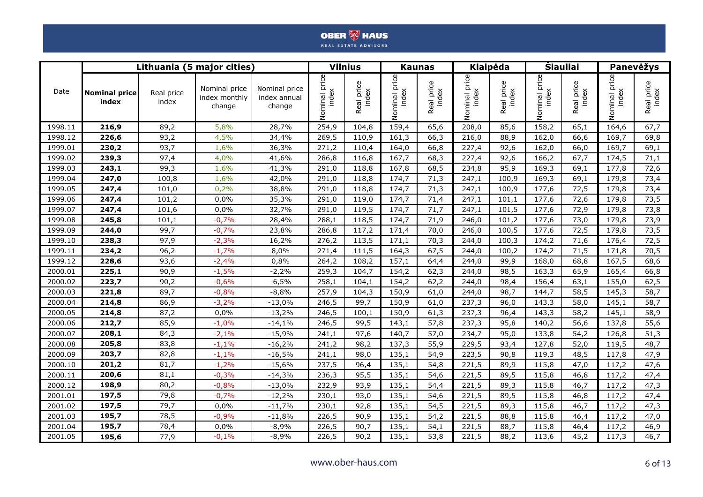|         |                               |                     | Lithuania (5 major cities)               |                                         |                        | <b>Vilnius</b>             |                        | <b>Kaunas</b>          | <b>Klaipėda</b>        |                            |                           | <b>Siauliai</b>     |                           | Panevėžys           |
|---------|-------------------------------|---------------------|------------------------------------------|-----------------------------------------|------------------------|----------------------------|------------------------|------------------------|------------------------|----------------------------|---------------------------|---------------------|---------------------------|---------------------|
| Date    | <b>Nominal price</b><br>index | Real price<br>index | Nominal price<br>index monthly<br>change | Nominal price<br>index annual<br>change | Nominal price<br>index | aal price<br>index<br>Real | Nominal price<br>index | price<br>index<br>Real | Nominal price<br>index | eal price<br>index<br>Real | price<br>index<br>Nominal | Real price<br>index | price<br>index<br>Nominal | Real price<br>index |
| 1998.11 | 216,9                         | 89,2                | 5,8%                                     | 28,7%                                   | 254,9                  | 104,8                      | 159,4                  | 65,6                   | 208,0                  | 85,6                       | 158,2                     | 65,1                | 164,6                     | 67,7                |
| 1998.12 | 226,6                         | 93,2                | 4,5%                                     | 34,4%                                   | 269,5                  | 110,9                      | 161,3                  | 66,3                   | 216,0                  | 88,9                       | 162,0                     | 66,6                | 169,7                     | 69,8                |
| 1999.01 | 230,2                         | 93,7                | 1,6%                                     | 36,3%                                   | 271,2                  | 110,4                      | 164,0                  | 66,8                   | 227,4                  | 92,6                       | 162,0                     | 66,0                | 169,7                     | 69,1                |
| 1999.02 | 239,3                         | 97,4                | 4,0%                                     | 41,6%                                   | 286,8                  | 116,8                      | 167,7                  | 68,3                   | 227,4                  | 92,6                       | 166,2                     | 67,7                | 174,5                     | 71,1                |
| 1999.03 | 243,1                         | 99,3                | 1,6%                                     | 41,3%                                   | 291,0                  | 118,8                      | 167,8                  | 68,5                   | 234,8                  | 95,9                       | 169,3                     | 69,1                | 177,8                     | 72,6                |
| 1999.04 | 247,0                         | 100,8               | 1,6%                                     | 42,0%                                   | 291,0                  | 118,8                      | 174,7                  | 71,3                   | 247,1                  | 100,9                      | 169,3                     | 69,1                | 179,8                     | 73,4                |
| 1999.05 | 247,4                         | 101,0               | 0,2%                                     | 38,8%                                   | 291,0                  | 118,8                      | 174,7                  | 71,3                   | 247,1                  | 100,9                      | 177,6                     | 72,5                | 179,8                     | 73,4                |
| 1999.06 | 247,4                         | 101,2               | 0,0%                                     | 35,3%                                   | 291,0                  | 119,0                      | 174,7                  | 71,4                   | 247,1                  | 101,1                      | 177,6                     | 72,6                | 179,8                     | 73,5                |
| 1999.07 | 247,4                         | 101,6               | 0,0%                                     | 32,7%                                   | 291,0                  | 119,5                      | 174,7                  | 71,7                   | 247,1                  | 101,5                      | 177,6                     | 72,9                | 179,8                     | 73,8                |
| 1999.08 | 245,8                         | 101,1               | $-0,7%$                                  | 28,4%                                   | 288,1                  | 118,5                      | 174,7                  | 71,9                   | 246,0                  | 101,2                      | 177,6                     | 73,0                | 179,8                     | 73,9                |
| 1999.09 | 244,0                         | 99,7                | $-0,7%$                                  | 23,8%                                   | 286,8                  | 117,2                      | 171,4                  | 70,0                   | 246,0                  | 100,5                      | 177,6                     | 72,5                | 179,8                     | 73,5                |
| 1999.10 | 238,3                         | 97,9                | $-2,3%$                                  | 16,2%                                   | 276,2                  | 113,5                      | 171,1                  | 70,3                   | 244,0                  | 100,3                      | 174,2                     | 71,6                | 176,4                     | 72,5                |
| 1999.11 | 234,2                         | 96,2                | $-1,7%$                                  | 8,0%                                    | 271,4                  | 111,5                      | 164,3                  | 67,5                   | 244,0                  | 100,2                      | 174,2                     | 71,5                | 171,8                     | 70,5                |
| 1999.12 | 228,6                         | 93,6                | $-2,4%$                                  | 0,8%                                    | 264,2                  | 108,2                      | 157,1                  | 64,4                   | 244,0                  | 99,9                       | 168,0                     | 68,8                | 167,5                     | 68,6                |
| 2000.01 | 225,1                         | 90,9                | $-1,5%$                                  | $-2,2%$                                 | 259,3                  | 104,7                      | 154,2                  | 62,3                   | 244,0                  | 98,5                       | 163,3                     | 65,9                | 165,4                     | 66,8                |
| 2000.02 | 223,7                         | 90,2                | $-0,6%$                                  | $-6,5%$                                 | 258,1                  | 104,1                      | 154,2                  | 62,2                   | 244,0                  | 98,4                       | 156,4                     | 63,1                | 155,0                     | 62,5                |
| 2000.03 | 221,8                         | 89,7                | $-0,8%$                                  | $-8,8%$                                 | 257,9                  | 104,3                      | 150,9                  | 61,0                   | 244,0                  | 98,7                       | 144,7                     | 58,5                | 145,3                     | 58,7                |
| 2000.04 | 214,8                         | 86,9                | $-3,2%$                                  | $-13,0%$                                | 246,5                  | 99,7                       | 150,9                  | 61,0                   | 237,3                  | 96,0                       | 143,3                     | 58,0                | 145,1                     | 58,7                |
| 2000.05 | 214,8                         | 87,2                | 0,0%                                     | $-13,2%$                                | 246,5                  | 100,1                      | 150,9                  | 61,3                   | 237,3                  | 96,4                       | 143,3                     | 58,2                | 145,1                     | 58,9                |
| 2000.06 | 212,7                         | 85,9                | $-1,0%$                                  | $-14,1%$                                | 246,5                  | 99,5                       | 143,1                  | 57,8                   | 237,3                  | 95,8                       | 140,2                     | 56,6                | 137,8                     | 55,6                |
| 2000.07 | 208,1                         | 84,3                | $-2,1%$                                  | $-15,9%$                                | 241,1                  | 97,6                       | 140,7                  | 57,0                   | 234,7                  | 95,0                       | 133,8                     | 54,2                | 126,8                     | 51,3                |
| 2000.08 | 205,8                         | 83,8                | $-1,1%$                                  | $-16,2%$                                | 241,2                  | 98,2                       | 137,3                  | 55,9                   | 229,5                  | 93,4                       | 127,8                     | 52,0                | 119,5                     | 48,7                |
| 2000.09 | 203,7                         | 82,8                | $-1,1%$                                  | $-16,5%$                                | 241,1                  | 98,0                       | 135,1                  | 54,9                   | 223,5                  | 90,8                       | 119,3                     | 48,5                | 117,8                     | 47,9                |
| 2000.10 | 201,2                         | 81,7                | $-1,2%$                                  | $-15,6%$                                | 237,5                  | 96,4                       | 135,1                  | 54,8                   | 221,5                  | 89,9                       | 115,8                     | 47,0                | 117,2                     | 47,6                |
| 2000.11 | 200,6                         | 81,1                | $-0,3%$                                  | $-14,3%$                                | 236,3                  | 95,5                       | 135,1                  | 54,6                   | 221,5                  | 89,5                       | 115,8                     | 46,8                | 117,2                     | 47,4                |
| 2000.12 | 198,9                         | 80,2                | $-0,8%$                                  | $-13,0%$                                | 232,9                  | 93,9                       | 135,1                  | 54,4                   | 221,5                  | 89,3                       | 115,8                     | 46,7                | 117,2                     | 47,3                |
| 2001.01 | 197,5                         | 79,8                | $-0,7%$                                  | $-12,2%$                                | 230,1                  | 93,0                       | 135,1                  | 54,6                   | 221,5                  | 89,5                       | 115,8                     | 46,8                | 117,2                     | 47,4                |
| 2001.02 | 197,5                         | 79,7                | 0,0%                                     | $-11,7%$                                | 230,1                  | 92,8                       | 135,1                  | 54,5                   | 221,5                  | 89,3                       | 115,8                     | 46,7                | 117,2                     | 47,3                |
| 2001.03 | 195,7                         | 78,5                | $-0,9%$                                  | $-11,8%$                                | 226,5                  | 90,9                       | 135,1                  | 54,2                   | 221,5                  | 88,8                       | 115,8                     | 46,4                | 117,2                     | 47,0                |
| 2001.04 | 195,7                         | 78,4                | 0,0%                                     | $-8,9%$                                 | 226,5                  | 90,7                       | 135,1                  | 54,1                   | 221,5                  | 88,7                       | 115,8                     | 46,4                | 117,2                     | 46,9                |
| 2001.05 | 195,6                         | 77,9                | $-0,1%$                                  | $-8,9%$                                 | 226,5                  | 90,2                       | 135,1                  | 53,8                   | 221,5                  | 88,2                       | 113,6                     | 45,2                | 117,3                     | 46,7                |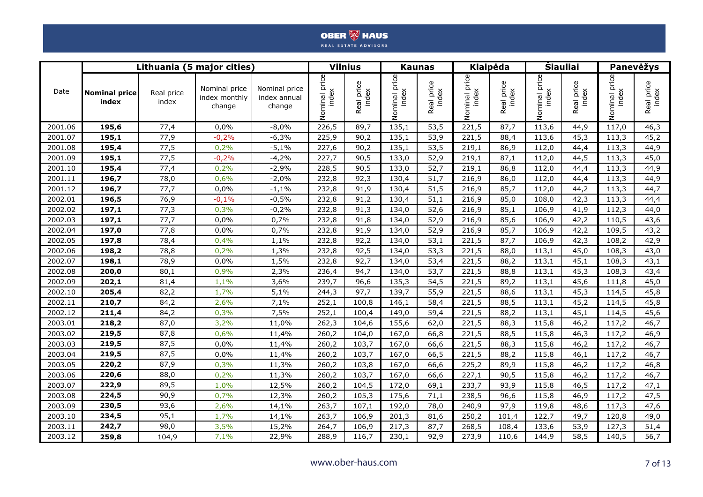|         |                               |                     | Lithuania (5 major cities)               |                                         |                        | <b>Vilnius</b>             |                        | <b>Kaunas</b>          | <b>Klaipėda</b>        |                            |                           | <b>Siauliai</b>     |                           | Panevėžys           |
|---------|-------------------------------|---------------------|------------------------------------------|-----------------------------------------|------------------------|----------------------------|------------------------|------------------------|------------------------|----------------------------|---------------------------|---------------------|---------------------------|---------------------|
| Date    | <b>Nominal price</b><br>index | Real price<br>index | Nominal price<br>index monthly<br>change | Nominal price<br>index annual<br>change | Nominal price<br>index | aal price<br>index<br>Real | Nominal price<br>index | price<br>index<br>Real | Nominal price<br>index | eal price<br>index<br>Real | price<br>index<br>Nominal | Real price<br>index | price<br>index<br>Nominal | Real price<br>index |
| 2001.06 | 195,6                         | 77,4                | 0,0%                                     | $-8,0%$                                 | 226,5                  | 89,7                       | 135,1                  | 53,5                   | 221,5                  | 87,7                       | 113,6                     | 44,9                | 117,0                     | 46,3                |
| 2001.07 | 195,1                         | 77,9                | $-0,2%$                                  | $-6,3%$                                 | 225,9                  | 90,2                       | 135,1                  | 53,9                   | 221,5                  | 88,4                       | 113,6                     | 45,3                | 113,3                     | 45,2                |
| 2001.08 | 195,4                         | 77,5                | 0,2%                                     | $-5,1%$                                 | 227,6                  | 90,2                       | 135,1                  | 53,5                   | 219,1                  | 86,9                       | 112,0                     | 44,4                | 113,3                     | 44,9                |
| 2001.09 | 195,1                         | 77,5                | $-0,2%$                                  | $-4,2%$                                 | 227,7                  | 90,5                       | 133,0                  | 52,9                   | 219,1                  | 87,1                       | 112,0                     | 44,5                | 113,3                     | 45,0                |
| 2001.10 | 195,4                         | 77,4                | 0,2%                                     | $-2,9%$                                 | 228,5                  | 90,5                       | 133,0                  | 52,7                   | 219,1                  | 86,8                       | 112,0                     | 44,4                | 113,3                     | 44,9                |
| 2001.11 | 196,7                         | 78,0                | 0,6%                                     | $-2,0%$                                 | 232,8                  | 92,3                       | 130,4                  | 51,7                   | 216,9                  | 86,0                       | 112,0                     | 44,4                | 113,3                     | 44,9                |
| 2001.12 | 196,7                         | 77,7                | 0,0%                                     | $-1,1%$                                 | 232,8                  | 91,9                       | 130,4                  | 51,5                   | 216,9                  | 85,7                       | 112,0                     | 44,2                | 113,3                     | 44,7                |
| 2002.01 | 196,5                         | 76,9                | $-0,1%$                                  | $-0,5%$                                 | 232,8                  | 91,2                       | 130,4                  | 51,1                   | 216,9                  | 85,0                       | 108,0                     | 42,3                | 113,3                     | 44,4                |
| 2002.02 | 197,1                         | 77,3                | 0,3%                                     | $-0,2%$                                 | 232,8                  | 91,3                       | 134,0                  | 52,6                   | 216,9                  | 85,1                       | 106,9                     | 41,9                | 112,3                     | 44,0                |
| 2002.03 | 197,1                         | 77,7                | 0,0%                                     | 0,7%                                    | 232,8                  | 91,8                       | 134,0                  | 52,9                   | 216,9                  | 85,6                       | 106,9                     | 42,2                | 110,5                     | 43,6                |
| 2002.04 | 197,0                         | 77,8                | 0,0%                                     | 0,7%                                    | 232,8                  | 91,9                       | 134,0                  | 52,9                   | 216,9                  | 85,7                       | 106,9                     | 42,2                | 109,5                     | 43,2                |
| 2002.05 | 197,8                         | 78,4                | 0,4%                                     | 1,1%                                    | 232,8                  | 92,2                       | 134,0                  | 53,1                   | 221,5                  | 87,7                       | 106,9                     | 42,3                | 108,2                     | 42,9                |
| 2002.06 | 198,2                         | 78,8                | 0,2%                                     | 1,3%                                    | 232,8                  | 92,5                       | 134,0                  | 53,3                   | 221,5                  | 88,0                       | 113,1                     | 45,0                | 108,3                     | 43,0                |
| 2002.07 | 198,1                         | 78,9                | 0,0%                                     | 1,5%                                    | 232,8                  | 92,7                       | 134,0                  | 53,4                   | 221,5                  | 88,2                       | 113,1                     | 45,1                | 108,3                     | 43,1                |
| 2002.08 | 200,0                         | 80,1                | 0,9%                                     | 2,3%                                    | 236,4                  | 94,7                       | 134,0                  | 53,7                   | 221,5                  | 88,8                       | 113,1                     | 45,3                | 108,3                     | 43,4                |
| 2002.09 | 202,1                         | 81,4                | 1,1%                                     | 3,6%                                    | 239,7                  | 96,6                       | 135,3                  | 54,5                   | 221,5                  | 89,2                       | 113,1                     | 45,6                | 111,8                     | 45,0                |
| 2002.10 | 205,4                         | 82,2                | 1,7%                                     | 5,1%                                    | 244,3                  | 97,7                       | 139,7                  | 55,9                   | 221,5                  | 88,6                       | 113,1                     | 45,3                | 114,5                     | 45,8                |
| 2002.11 | 210,7                         | 84,2                | 2,6%                                     | 7,1%                                    | 252,1                  | 100,8                      | 146,1                  | 58,4                   | 221,5                  | 88,5                       | 113,1                     | 45,2                | 114,5                     | 45,8                |
| 2002.12 | 211,4                         | 84,2                | 0,3%                                     | 7,5%                                    | 252,1                  | 100,4                      | 149,0                  | 59,4                   | 221,5                  | 88,2                       | 113,1                     | 45,1                | 114,5                     | 45,6                |
| 2003.01 | 218,2                         | 87,0                | 3,2%                                     | 11,0%                                   | 262,3                  | 104,6                      | 155,6                  | 62,0                   | 221,5                  | 88,3                       | 115,8                     | 46,2                | 117,2                     | 46,7                |
| 2003.02 | 219,5                         | 87,8                | 0,6%                                     | 11,4%                                   | 260,2                  | 104,0                      | 167,0                  | 66,8                   | 221,5                  | 88,5                       | 115,8                     | 46,3                | 117,2                     | 46,9                |
| 2003.03 | 219,5                         | 87,5                | 0,0%                                     | 11,4%                                   | 260,2                  | 103,7                      | 167,0                  | 66,6                   | 221,5                  | 88,3                       | 115,8                     | 46,2                | 117,2                     | 46,7                |
| 2003.04 | 219,5                         | 87,5                | 0,0%                                     | 11,4%                                   | 260,2                  | 103,7                      | 167,0                  | 66,5                   | 221,5                  | 88,2                       | 115,8                     | 46,1                | 117,2                     | 46,7                |
| 2003.05 | 220,2                         | 87,9                | 0,3%                                     | 11,3%                                   | 260,2                  | 103,8                      | 167,0                  | 66,6                   | 225,2                  | 89,9                       | 115,8                     | 46,2                | 117,2                     | 46,8                |
| 2003.06 | 220,6                         | 88,0                | 0,2%                                     | 11,3%                                   | 260,2                  | 103,7                      | 167,0                  | 66,6                   | 227,1                  | 90,5                       | 115,8                     | 46,2                | 117,2                     | 46,7                |
| 2003.07 | 222,9                         | 89,5                | 1,0%                                     | 12,5%                                   | 260,2                  | 104,5                      | 172,0                  | 69,1                   | 233,7                  | 93,9                       | 115,8                     | 46,5                | 117,2                     | 47,1                |
| 2003.08 | 224,5                         | 90,9                | 0,7%                                     | 12,3%                                   | 260,2                  | 105,3                      | 175,6                  | 71,1                   | 238,5                  | 96,6                       | 115,8                     | 46,9                | 117,2                     | 47,5                |
| 2003.09 | 230,5                         | 93,6                | 2,6%                                     | 14,1%                                   | 263,7                  | 107,1                      | 192,0                  | 78,0                   | 240,9                  | 97,9                       | 119,8                     | 48,6                | 117,3                     | 47,6                |
| 2003.10 | 234,5                         | 95,1                | 1,7%                                     | 14,1%                                   | 263,7                  | 106,9                      | 201,3                  | 81,6                   | 250,2                  | 101,4                      | 122,7                     | 49,7                | 120,8                     | 49,0                |
| 2003.11 | 242,7                         | 98,0                | 3,5%                                     | 15,2%                                   | 264,7                  | 106,9                      | 217,3                  | 87,7                   | 268,5                  | 108,4                      | 133,6                     | 53,9                | 127,3                     | 51,4                |
| 2003.12 | 259,8                         | 104,9               | 7,1%                                     | 22,9%                                   | 288,9                  | 116,7                      | 230,1                  | 92,9                   | 273,9                  | 110,6                      | 144,9                     | 58,5                | 140,5                     | 56,7                |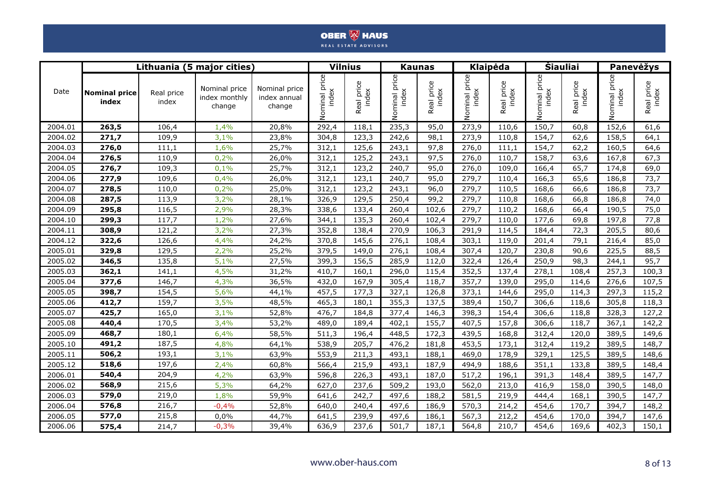|         |                               |                     | Lithuania (5 major cities                |                                         |                        | <b>Vilnius</b>         |                        | <b>Kaunas</b>       |                        | <b>Klaipėda</b>     | <b>Siauliai</b>        |                     |                           | Panevėžys           |
|---------|-------------------------------|---------------------|------------------------------------------|-----------------------------------------|------------------------|------------------------|------------------------|---------------------|------------------------|---------------------|------------------------|---------------------|---------------------------|---------------------|
| Date    | <b>Nominal price</b><br>index | Real price<br>index | Nominal price<br>index monthly<br>change | Nominal price<br>index annual<br>change | Nominal price<br>index | price<br>index<br>Real | Nominal price<br>index | Real price<br>index | Nominal price<br>index | Real price<br>index | Nominal price<br>index | Real price<br>index | price<br>index<br>Nominal | Real price<br>index |
| 2004.01 | 263,5                         | 106,4               | 1,4%                                     | 20,8%                                   | 292,4                  | 118,1                  | 235,3                  | 95,0                | 273,9                  | 110,6               | 150,7                  | 60,8                | 152,6                     | 61,6                |
| 2004.02 | 271,7                         | 109,9               | 3,1%                                     | 23,8%                                   | 304,8                  | 123,3                  | 242,6                  | 98,1                | 273,9                  | 110,8               | 154,7                  | 62,6                | 158,5                     | 64,1                |
| 2004.03 | 276,0                         | 111,1               | 1,6%                                     | 25,7%                                   | 312,1                  | 125,6                  | 243,1                  | 97,8                | 276,0                  | 111,1               | 154,7                  | 62,2                | 160,5                     | 64,6                |
| 2004.04 | 276,5                         | 110,9               | 0,2%                                     | 26,0%                                   | 312,1                  | 125,2                  | 243,1                  | 97,5                | 276,0                  | 110,7               | 158,7                  | 63,6                | 167,8                     | 67,3                |
| 2004.05 | 276,7                         | 109,3               | 0,1%                                     | 25,7%                                   | 312,1                  | 123,2                  | 240,7                  | 95,0                | 276,0                  | 109,0               | 166,4                  | 65,7                | 174,8                     | 69,0                |
| 2004.06 | 277,9                         | 109,6               | 0,4%                                     | 26,0%                                   | 312,1                  | 123,1                  | 240,7                  | 95,0                | 279,7                  | 110,4               | 166,3                  | 65,6                | 186,8                     | 73,7                |
| 2004.07 | 278,5                         | 110,0               | 0,2%                                     | 25,0%                                   | 312,1                  | 123,2                  | 243,1                  | 96,0                | 279,7                  | 110,5               | 168,6                  | 66,6                | 186,8                     | 73,7                |
| 2004.08 | 287,5                         | 113,9               | 3,2%                                     | 28,1%                                   | 326,9                  | 129,5                  | 250,4                  | 99,2                | 279,7                  | 110,8               | 168,6                  | 66,8                | 186,8                     | 74,0                |
| 2004.09 | 295,8                         | 116,5               | 2,9%                                     | 28,3%                                   | 338,6                  | 133,4                  | 260,4                  | 102,6               | 279,7                  | 110,2               | 168,6                  | 66,4                | 190,5                     | 75,0                |
| 2004.10 | 299,3                         | 117,7               | 1,2%                                     | 27,6%                                   | 344,1                  | 135,3                  | 260,4                  | 102,4               | 279,7                  | 110,0               | 177,6                  | 69,8                | 197,8                     | 77,8                |
| 2004.11 | 308,9                         | 121,2               | 3,2%                                     | 27,3%                                   | 352,8                  | 138,4                  | 270,9                  | 106,3               | 291,9                  | 114,5               | 184,4                  | 72,3                | 205,5                     | 80,6                |
| 2004.12 | 322,6                         | 126,6               | 4,4%                                     | 24,2%                                   | 370,8                  | 145,6                  | 276,1                  | 108,4               | 303,1                  | 119,0               | 201,4                  | 79,1                | 216,4                     | 85,0                |
| 2005.01 | 329,8                         | 129,5               | 2,2%                                     | 25,2%                                   | 379,5                  | 149,0                  | 276,1                  | 108,4               | 307,4                  | 120,7               | 230,8                  | 90,6                | 225,5                     | 88,5                |
| 2005.02 | 346,5                         | 135,8               | 5,1%                                     | 27,5%                                   | 399,3                  | 156,5                  | 285,9                  | 112,0               | 322,4                  | 126,4               | 250,9                  | 98,3                | 244,1                     | 95,7                |
| 2005.03 | 362,1                         | 141,1               | 4,5%                                     | 31,2%                                   | 410,7                  | 160,1                  | 296,0                  | 115,4               | 352,5                  | 137,4               | 278,1                  | 108,4               | 257,3                     | 100,3               |
| 2005.04 | 377,6                         | 146,7               | 4,3%                                     | 36,5%                                   | 432,0                  | 167,9                  | 305,4                  | 118,7               | 357,7                  | 139,0               | 295,0                  | 114,6               | 276,6                     | 107,5               |
| 2005.05 | 398,7                         | 154,5               | 5,6%                                     | 44,1%                                   | 457,5                  | 177,3                  | 327,1                  | 126,8               | 373,1                  | 144,6               | 295,0                  | 114,3               | 297,3                     | 115,2               |
| 2005.06 | 412,7                         | 159,7               | 3,5%                                     | 48,5%                                   | 465,3                  | 180,1                  | 355,3                  | 137,5               | 389,4                  | 150,7               | 306,6                  | 118,6               | 305,8                     | 118,3               |
| 2005.07 | 425,7                         | 165,0               | 3,1%                                     | 52,8%                                   | 476,7                  | 184,8                  | 377,4                  | 146,3               | 398,3                  | 154,4               | 306,6                  | 118,8               | 328,3                     | 127,2               |
| 2005.08 | 440,4                         | 170,5               | 3,4%                                     | 53,2%                                   | 489,0                  | 189,4                  | 402,1                  | 155,7               | 407,5                  | 157,8               | 306,6                  | 118,7               | 367,1                     | 142,2               |
| 2005.09 | 468,7                         | 180,1               | 6,4%                                     | 58,5%                                   | 511,3                  | 196,4                  | 448,5                  | 172,3               | 439,5                  | 168,8               | 312,4                  | 120,0               | 389,5                     | 149,6               |
| 2005.10 | 491,2                         | 187,5               | 4,8%                                     | 64,1%                                   | 538,9                  | 205,7                  | 476,2                  | 181,8               | 453,5                  | 173,1               | 312,4                  | 119,2               | 389,5                     | 148,7               |
| 2005.11 | 506,2                         | 193,1               | 3,1%                                     | 63,9%                                   | 553,9                  | 211,3                  | 493,1                  | 188,1               | 469,0                  | 178,9               | 329,1                  | 125,5               | 389,5                     | 148,6               |
| 2005.12 | 518,6                         | 197,6               | 2,4%                                     | 60,8%                                   | 566,4                  | 215,9                  | 493,1                  | 187,9               | 494,9                  | 188,6               | 351,1                  | 133,8               | 389,5                     | 148,4               |
| 2006.01 | 540,4                         | 204,9               | 4,2%                                     | 63,9%                                   | 596,8                  | 226,3                  | 493,1                  | 187,0               | 517,2                  | 196,1               | 391,3                  | 148,4               | 389,5                     | 147,7               |
| 2006.02 | 568,9                         | 215,6               | 5,3%                                     | 64,2%                                   | 627,0                  | 237,6                  | 509,2                  | 193,0               | 562,0                  | 213,0               | 416,9                  | 158,0               | 390,5                     | 148,0               |
| 2006.03 | 579,0                         | 219,0               | 1,8%                                     | 59,9%                                   | 641,6                  | 242,7                  | 497,6                  | 188,2               | 581,5                  | 219,9               | 444,4                  | 168,1               | 390,5                     | 147,7               |
| 2006.04 | 576,8                         | 216,7               | $-0,4%$                                  | 52,8%                                   | 640,0                  | 240,4                  | 497,6                  | 186,9               | 570,3                  | 214,2               | 454,6                  | 170,7               | 394,7                     | 148,2               |
| 2006.05 | 577,0                         | 215,8               | 0,0%                                     | 44,7%                                   | 641,5                  | 239,9                  | 497,6                  | 186,1               | 567,3                  | 212,2               | 454,6                  | 170,0               | 394,7                     | 147,6               |
| 2006.06 | 575,4                         | 214,7               | $-0,3%$                                  | 39,4%                                   | 636,9                  | 237,6                  | 501,7                  | 187,1               | 564,8                  | 210,7               | 454,6                  | 169,6               | 402,3                     | 150,1               |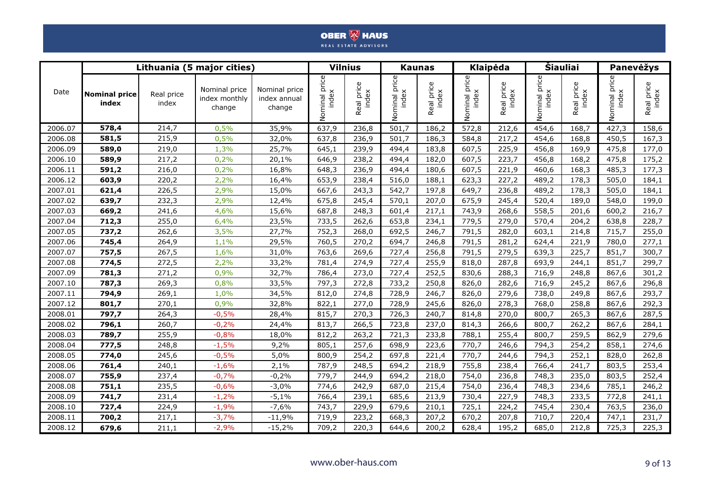|         |                               |                     | Lithuania (5 major cities)               |                                         |                        | <b>Vilnius</b>             |                        | <b>Kaunas</b>          | <b>Klaipėda</b>        |                     |                        | Šiauliai            |                           | Panevėžys           |
|---------|-------------------------------|---------------------|------------------------------------------|-----------------------------------------|------------------------|----------------------------|------------------------|------------------------|------------------------|---------------------|------------------------|---------------------|---------------------------|---------------------|
| Date    | <b>Nominal price</b><br>index | Real price<br>index | Nominal price<br>index monthly<br>change | Nominal price<br>index annual<br>change | Nominal price<br>index | aal price<br>index<br>Real | Nominal price<br>index | price<br>index<br>Real | Nominal price<br>index | Real price<br>index | Nominal price<br>index | Real price<br>index | price<br>index<br>Nominal | Real price<br>index |
| 2006.07 | 578,4                         | 214,7               | 0,5%                                     | 35,9%                                   | 637,9                  | 236,8                      | 501,7                  | 186,2                  | 572,8                  | 212,6               | 454,6                  | 168,7               | 427,3                     | 158,6               |
| 2006.08 | 581,5                         | 215,9               | 0,5%                                     | 32,0%                                   | 637,8                  | 236,9                      | 501,7                  | 186,3                  | 584,8                  | 217,2               | 454,6                  | 168,8               | 450,5                     | 167,3               |
| 2006.09 | 589,0                         | 219,0               | 1,3%                                     | 25,7%                                   | 645,1                  | 239,9                      | 494,4                  | 183,8                  | 607,5                  | 225,9               | 456,8                  | 169,9               | 475,8                     | 177,0               |
| 2006.10 | 589,9                         | 217,2               | 0,2%                                     | 20,1%                                   | 646,9                  | 238,2                      | 494,4                  | 182,0                  | 607,5                  | 223,7               | 456,8                  | 168,2               | 475,8                     | 175,2               |
| 2006.11 | 591,2                         | 216,0               | 0,2%                                     | 16,8%                                   | 648,3                  | 236,9                      | 494,4                  | 180,6                  | 607,5                  | 221,9               | 460,6                  | 168,3               | 485,3                     | 177,3               |
| 2006.12 | 603,9                         | 220,2               | 2,2%                                     | 16,4%                                   | 653,9                  | 238,4                      | 516,0                  | 188,1                  | 623,3                  | 227,2               | 489,2                  | 178,3               | 505,0                     | 184,1               |
| 2007.01 | 621,4                         | 226,5               | 2,9%                                     | 15,0%                                   | 667,6                  | 243,3                      | 542,7                  | 197,8                  | 649,7                  | 236,8               | 489,2                  | 178,3               | 505.0                     | 184,1               |
| 2007.02 | 639,7                         | 232,3               | 2,9%                                     | 12,4%                                   | 675,8                  | 245,4                      | 570,1                  | 207,0                  | 675,9                  | 245,4               | 520,4                  | 189,0               | 548,0                     | 199,0               |
| 2007.03 | 669,2                         | 241,6               | 4,6%                                     | 15,6%                                   | 687,8                  | 248,3                      | 601,4                  | 217,1                  | 743,9                  | 268,6               | 558,5                  | 201,6               | 600,2                     | 216,7               |
| 2007.04 | 712,3                         | 255,0               | 6,4%                                     | 23,5%                                   | 733,5                  | 262,6                      | 653,8                  | 234,1                  | 779,5                  | 279,0               | 570,4                  | 204,2               | 638,8                     | 228,7               |
| 2007.05 | 737,2                         | 262,6               | 3,5%                                     | 27,7%                                   | 752,3                  | 268,0                      | 692,5                  | 246,7                  | 791,5                  | 282,0               | 603,1                  | 214,8               | 715,7                     | 255,0               |
| 2007.06 | 745,4                         | 264,9               | 1,1%                                     | 29,5%                                   | 760,5                  | 270,2                      | 694,7                  | 246,8                  | 791,5                  | 281,2               | 624,4                  | 221,9               | 780,0                     | 277,1               |
| 2007.07 | 757,5                         | 267,5               | 1,6%                                     | 31,0%                                   | 763,6                  | 269,6                      | 727,4                  | 256,8                  | 791,5                  | 279,5               | 639,3                  | 225,7               | 851,7                     | 300,7               |
| 2007.08 | 774,5                         | 272,5               | 2,2%                                     | 33,2%                                   | 781,4                  | 274,9                      | 727,4                  | 255,9                  | 818,0                  | 287,8               | 693,9                  | 244,1               | 851,7                     | 299,7               |
| 2007.09 | 781,3                         | 271,2               | 0,9%                                     | 32,7%                                   | 786,4                  | 273,0                      | 727,4                  | 252,5                  | 830,6                  | 288,3               | 716,9                  | 248,8               | 867,6                     | 301,2               |
| 2007.10 | 787,3                         | 269,3               | 0,8%                                     | 33,5%                                   | 797,3                  | 272,8                      | 733,2                  | 250,8                  | 826,0                  | 282,6               | 716,9                  | 245,2               | 867,6                     | 296,8               |
| 2007.11 | 794,9                         | 269,1               | 1,0%                                     | 34,5%                                   | 812,0                  | 274,8                      | 728,9                  | 246,7                  | 826,0                  | 279,6               | 738,0                  | 249,8               | 867,6                     | 293,7               |
| 2007.12 | 801,7                         | 270,1               | 0,9%                                     | 32,8%                                   | 822,1                  | 277,0                      | 728,9                  | 245,6                  | 826,0                  | 278,3               | 768,0                  | 258,8               | 867,6                     | 292,3               |
| 2008.01 | 797,7                         | 264,3               | $-0,5%$                                  | 28,4%                                   | 815,7                  | 270,3                      | 726,3                  | 240,7                  | 814,8                  | 270,0               | 800,7                  | 265,3               | 867,6                     | 287,5               |
| 2008.02 | 796,1                         | 260,7               | $-0,2%$                                  | 24,4%                                   | 813,7                  | 266,5                      | 723,8                  | 237,0                  | 814,3                  | 266,6               | 800,7                  | 262,2               | 867,6                     | 284,1               |
| 2008.03 | 789,7                         | 255,9               | $-0,8%$                                  | 18,0%                                   | 812,2                  | 263,2                      | 721,3                  | 233,8                  | 788,1                  | 255,4               | 800,7                  | 259,5               | 862,9                     | 279,6               |
| 2008.04 | 777,5                         | 248,8               | $-1,5%$                                  | 9,2%                                    | 805,1                  | 257,6                      | 698,9                  | 223,6                  | 770,7                  | 246,6               | 794,3                  | 254,2               | 858,1                     | 274,6               |
| 2008.05 | 774,0                         | 245,6               | $-0,5%$                                  | 5,0%                                    | 800,9                  | 254,2                      | 697,8                  | 221,4                  | 770,7                  | 244,6               | 794,3                  | 252,1               | 828,0                     | 262,8               |
| 2008.06 | 761,4                         | 240,1               | $-1,6%$                                  | 2,1%                                    | 787,9                  | 248,5                      | 694,2                  | 218,9                  | 755,8                  | 238,4               | 766,4                  | 241,7               | 803,5                     | 253,4               |
| 2008.07 | 755,9                         | 237,4               | $-0,7%$                                  | $-0,2%$                                 | 779,7                  | 244,9                      | 694,2                  | 218,0                  | 754,0                  | 236,8               | 748,3                  | 235,0               | 803,5                     | 252,4               |
| 2008.08 | 751,1                         | 235,5               | $-0,6%$                                  | $-3,0%$                                 | 774,6                  | 242,9                      | 687,0                  | 215,4                  | 754,0                  | 236,4               | 748,3                  | 234,6               | 785,1                     | 246,2               |
| 2008.09 | 741,7                         | 231,4               | $-1,2%$                                  | $-5,1%$                                 | 766,4                  | 239,1                      | 685,6                  | 213,9                  | 730,4                  | 227,9               | 748,3                  | 233,5               | 772,8                     | 241,1               |
| 2008.10 | 727,4                         | 224,9               | $-1,9%$                                  | $-7,6%$                                 | 743,7                  | 229,9                      | 679,6                  | 210,1                  | 725,1                  | 224,2               | 745,4                  | 230,4               | 763,5                     | 236,0               |
| 2008.11 | 700,2                         | 217,1               | $-3,7%$                                  | $-11,9%$                                | 719,9                  | 223,2                      | 668,3                  | 207,2                  | 670,2                  | 207,8               | 710,7                  | 220,4               | 747,1                     | 231,7               |
| 2008.12 | 679,6                         | 211,1               | $-2,9%$                                  | $-15,2%$                                | 709,2                  | 220,3                      | 644,6                  | 200,2                  | 628,4                  | 195,2               | 685,0                  | 212,8               | 725,3                     | 225,3               |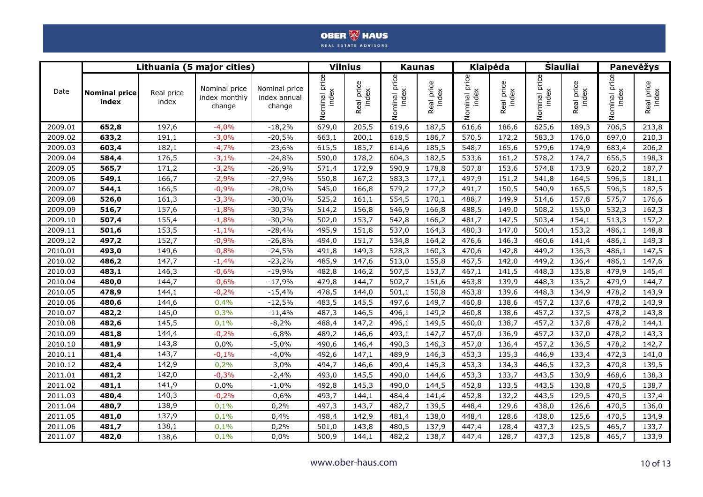|         |                               |                     | Lithuania (5 major cities)               |                                         |                           | <b>Vilnius</b>      |                           | <b>Kaunas</b>       |                           | Klaipėda            | <b>Siauliai</b>              |                     |                           | Panevėžys           |
|---------|-------------------------------|---------------------|------------------------------------------|-----------------------------------------|---------------------------|---------------------|---------------------------|---------------------|---------------------------|---------------------|------------------------------|---------------------|---------------------------|---------------------|
| Date    | <b>Nominal price</b><br>index | Real price<br>index | Nominal price<br>index monthly<br>change | Nominal price<br>index annual<br>change | price<br>index<br>Nominal | Real price<br>index | price<br>index<br>Nominal | Real price<br>index | price<br>index<br>Nominal | Real price<br>index | price<br>Nominal pr<br>index | Real price<br>index | price<br>index<br>Nominal | Real price<br>index |
| 2009.01 | 652,8                         | 197,6               | $-4,0%$                                  | $-18,2%$                                | 679,0                     | 205,5               | 619,6                     | 187,5               | 616,6                     | 186,6               | 625,6                        | 189,3               | 706,5                     | 213,8               |
| 2009.02 | 633,2                         | 191,1               | $-3,0%$                                  | $-20,5%$                                | 663,1                     | 200,1               | 618,5                     | 186,7               | 570,5                     | 172,2               | 583,3                        | 176,0               | 697,0                     | 210,3               |
| 2009.03 | 603,4                         | 182,1               | $-4,7%$                                  | $-23,6%$                                | 615,5                     | 185,7               | 614,6                     | 185,5               | 548,7                     | 165,6               | 579,6                        | 174,9               | 683,4                     | 206,2               |
| 2009.04 | 584,4                         | 176,5               | $-3,1%$                                  | $-24,8%$                                | 590,0                     | 178,2               | 604,3                     | 182,5               | 533,6                     | 161,2               | 578,2                        | 174,7               | 656,5                     | 198,3               |
| 2009.05 | 565,7                         | 171,2               | $-3,2%$                                  | $-26,9%$                                | 571,4                     | 172,9               | 590,9                     | 178,8               | 507,8                     | 153,6               | 574,8                        | 173,9               | 620,2                     | 187,7               |
| 2009.06 | 549,1                         | 166,7               | $-2,9%$                                  | $-27,9%$                                | 550,8                     | 167,2               | 583,3                     | 177,1               | 497,9                     | 151,2               | 541,8                        | 164,5               | 596,5                     | 181,1               |
| 2009.07 | 544,1                         | 166,5               | $-0,9%$                                  | $-28,0%$                                | 545,0                     | 166,8               | 579,2                     | 177,2               | 491,7                     | 150,5               | 540,9                        | 165,5               | 596,5                     | 182,5               |
| 2009.08 | 526,0                         | 161,3               | $-3,3%$                                  | $-30,0%$                                | 525,2                     | 161,1               | 554,5                     | 170,1               | 488,7                     | 149,9               | 514,6                        | 157,8               | 575,7                     | 176,6               |
| 2009.09 | 516,7                         | 157,6               | $-1,8%$                                  | $-30,3%$                                | 514,2                     | 156,8               | 546,9                     | 166,8               | 488,5                     | 149,0               | 508,2                        | 155,0               | 532,3                     | 162,3               |
| 2009.10 | 507,4                         | 155,4               | $-1,8%$                                  | $-30,2%$                                | 502,0                     | 153,7               | 542,8                     | 166,2               | 481,7                     | 147,5               | 503,4                        | 154,1               | 513,3                     | 157,2               |
| 2009.11 | 501,6                         | 153,5               | $-1,1%$                                  | $-28,4%$                                | 495,9                     | 151,8               | 537,0                     | 164,3               | 480,3                     | 147,0               | 500,4                        | 153,2               | 486,1                     | 148,8               |
| 2009.12 | 497,2                         | 152,7               | $-0,9%$                                  | $-26,8%$                                | 494,0                     | 151,7               | 534,8                     | 164,2               | 476,6                     | 146,3               | 460,6                        | 141,4               | 486,1                     | 149,3               |
| 2010.01 | 493,0                         | 149,6               | $-0,8%$                                  | $-24,5%$                                | 491,8                     | 149,3               | 528,3                     | 160,3               | 470,6                     | 142,8               | 449,2                        | 136,3               | 486,1                     | 147,5               |
| 2010.02 | 486,2                         | 147,7               | $-1,4%$                                  | $-23,2%$                                | 485,9                     | 147,6               | 513,0                     | 155,8               | 467,5                     | 142,0               | 449,2                        | 136,4               | 486,1                     | 147,6               |
| 2010.03 | 483,1                         | 146,3               | $-0,6%$                                  | $-19,9%$                                | 482,8                     | 146,2               | 507,5                     | 153,7               | 467,1                     | 141,5               | 448,3                        | 135,8               | 479,9                     | 145,4               |
| 2010.04 | 480,0                         | 144,7               | $-0,6%$                                  | $-17,9%$                                | 479,8                     | 144,7               | 502,7                     | 151,6               | 463,8                     | 139,9               | 448,3                        | 135,2               | 479,9                     | 144,7               |
| 2010.05 | 478,9                         | 144,1               | $-0,2%$                                  | $-15,4%$                                | 478,5                     | 144,0               | 501,1                     | 150,8               | 463,8                     | 139,6               | 448,3                        | 134,9               | 478,2                     | 143,9               |
| 2010.06 | 480,6                         | 144,6               | 0,4%                                     | $-12,5%$                                | 483,5                     | 145,5               | 497,6                     | 149,7               | 460,8                     | 138,6               | 457,2                        | 137,6               | 478,2                     | 143,9               |
| 2010.07 | 482,2                         | 145,0               | 0,3%                                     | $-11,4%$                                | 487,3                     | 146,5               | 496,1                     | 149,2               | 460,8                     | 138,6               | 457,2                        | 137,5               | 478,2                     | 143,8               |
| 2010.08 | 482,6                         | 145,5               | 0,1%                                     | $-8,2%$                                 | 488,4                     | 147,2               | 496,1                     | 149,5               | 460,0                     | 138,7               | 457,2                        | 137,8               | 478,2                     | 144,1               |
| 2010.09 | 481,8                         | 144,4               | $-0,2%$                                  | $-6,8%$                                 | 489,2                     | 146,6               | 493,1                     | 147,7               | 457,0                     | 136,9               | 457,2                        | 137,0               | 478,2                     | 143,3               |
| 2010.10 | 481,9                         | 143,8               | 0,0%                                     | $-5,0%$                                 | 490,6                     | 146,4               | 490,3                     | 146,3               | 457,0                     | 136,4               | 457,2                        | 136,5               | 478,2                     | 142,7               |
| 2010.11 | 481,4                         | 143,7               | $-0,1%$                                  | $-4,0%$                                 | 492,6                     | 147,1               | 489,9                     | 146,3               | 453,3                     | 135,3               | 446,9                        | 133,4               | 472,3                     | 141,0               |
| 2010.12 | 482,4                         | 142,9               | 0,2%                                     | $-3,0%$                                 | 494,7                     | 146,6               | 490,4                     | 145,3               | 453,3                     | 134,3               | 446,5                        | 132,3               | 470,8                     | 139,5               |
| 2011.01 | 481,2                         | 142,0               | $-0,3%$                                  | $-2,4%$                                 | 493,0                     | 145,5               | 490,0                     | 144,6               | 453,3                     | 133,7               | 443,5                        | 130,9               | 468,6                     | 138,3               |
| 2011.02 | 481,1                         | 141,9               | 0,0%                                     | $-1,0%$                                 | 492,8                     | 145,3               | 490,0                     | 144,5               | 452,8                     | 133,5               | 443,5                        | 130,8               | 470,5                     | 138,7               |
| 2011.03 | 480,4                         | 140,3               | $-0,2%$                                  | $-0,6%$                                 | 493,7                     | 144,1               | 484,4                     | 141,4               | 452,8                     | 132,2               | 443,5                        | 129,5               | 470,5                     | 137,4               |
| 2011.04 | 480,7                         | 138,9               | 0,1%                                     | 0,2%                                    | 497,3                     | 143,7               | 482,7                     | 139,5               | 448,4                     | 129,6               | 438,0                        | 126,6               | 470,5                     | 136,0               |
| 2011.05 | 481,0                         | 137,9               | 0,1%                                     | 0,4%                                    | 498,4                     | 142,9               | 481,4                     | 138,0               | 448,4                     | 128,6               | 438,0                        | 125,6               | 470,5                     | 134,9               |
| 2011.06 | 481,7                         | 138,1               | 0,1%                                     | 0,2%                                    | 501,0                     | 143,8               | 480,5                     | 137,9               | 447,4                     | 128,4               | 437,3                        | 125,5               | 465,7                     | 133,7               |
| 2011.07 | 482,0                         | 138,6               | 0,1%                                     | 0,0%                                    | 500,9                     | 144,1               | 482,2                     | 138,7               | 447,4                     | 128,7               | 437,3                        | 125,8               | 465,7                     | 133,9               |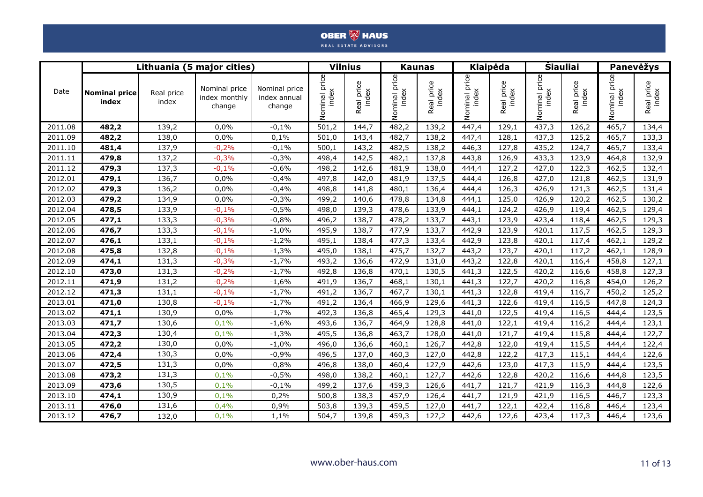|         |                               |                     | Lithuania (5 major cities)               |                                         |                        | <b>Vilnius</b>             |                        | <b>Kaunas</b>          | <b>Klaipėda</b>        |                            |                           | <b>Siauliai</b>     |                           | <b>Panevėžys</b>    |
|---------|-------------------------------|---------------------|------------------------------------------|-----------------------------------------|------------------------|----------------------------|------------------------|------------------------|------------------------|----------------------------|---------------------------|---------------------|---------------------------|---------------------|
| Date    | <b>Nominal price</b><br>index | Real price<br>index | Nominal price<br>index monthly<br>change | Nominal price<br>index annual<br>change | Nominal price<br>index | aal price<br>index<br>Real | Nominal price<br>index | price<br>index<br>Real | Nominal price<br>index | aal price<br>index<br>Real | price<br>index<br>Nominal | Real price<br>index | price<br>index<br>Nominal | Real price<br>index |
| 2011.08 | 482,2                         | 139,2               | 0,0%                                     | $-0,1%$                                 | 501,2                  | 144,7                      | 482,2                  | 139,2                  | 447,4                  | 129,1                      | 437,3                     | 126,2               | 465,7                     | 134,4               |
| 2011.09 | 482,2                         | 138,0               | 0,0%                                     | 0,1%                                    | 501,0                  | 143,4                      | 482,7                  | 138,2                  | 447,4                  | 128,1                      | 437,3                     | 125,2               | 465,7                     | 133,3               |
| 2011.10 | 481,4                         | 137,9               | $-0,2%$                                  | $-0,1%$                                 | 500,1                  | 143,2                      | 482,5                  | 138,2                  | 446,3                  | 127,8                      | 435,2                     | 124,7               | 465,7                     | 133,4               |
| 2011.11 | 479,8                         | 137,2               | $-0,3%$                                  | $-0,3%$                                 | 498,4                  | 142,5                      | 482,1                  | 137,8                  | 443,8                  | 126,9                      | 433,3                     | 123,9               | 464,8                     | 132,9               |
| 2011.12 | 479,3                         | 137,3               | $-0,1%$                                  | $-0.6%$                                 | 498,2                  | 142,6                      | 481,9                  | 138,0                  | 444,4                  | 127,2                      | 427,0                     | 122,3               | 462,5                     | 132,4               |
| 2012.01 | 479,1                         | 136,7               | 0.0%                                     | $-0,4%$                                 | 497,8                  | 142,0                      | 481,9                  | 137,5                  | 444,4                  | 126,8                      | 427,0                     | 121,8               | 462,5                     | 131,9               |
| 2012.02 | 479,3                         | 136,2               | 0,0%                                     | $-0,4%$                                 | 498,8                  | 141,8                      | 480,1                  | 136,4                  | 444,4                  | 126,3                      | 426,9                     | 121,3               | 462,5                     | 131,4               |
| 2012.03 | 479,2                         | 134,9               | 0,0%                                     | $-0,3%$                                 | 499,2                  | 140,6                      | 478,8                  | 134,8                  | 444,1                  | 125,0                      | 426,9                     | 120,2               | 462,5                     | 130,2               |
| 2012.04 | 478,5                         | 133,9               | $-0,1%$                                  | $-0,5%$                                 | 498,0                  | 139,3                      | 478,6                  | 133,9                  | 444,1                  | 124,2                      | 426,9                     | 119,4               | 462,5                     | 129,4               |
| 2012.05 | 477,1                         | 133,3               | $-0,3%$                                  | $-0,8%$                                 | 496,2                  | 138,7                      | 478,2                  | 133,7                  | 443,1                  | 123,9                      | 423,4                     | 118,4               | 462,5                     | 129,3               |
| 2012.06 | 476,7                         | 133,3               | $-0,1%$                                  | $-1,0%$                                 | 495,9                  | 138,7                      | 477,9                  | 133,7                  | 442,9                  | 123,9                      | 420,1                     | 117,5               | 462,5                     | 129,3               |
| 2012.07 | 476,1                         | 133,1               | $-0,1%$                                  | $-1,2%$                                 | 495,1                  | 138,4                      | 477,3                  | 133,4                  | 442,9                  | 123,8                      | 420,1                     | 117,4               | 462,1                     | 129,2               |
| 2012.08 | 475,8                         | 132,8               | $-0,1%$                                  | $-1,3%$                                 | 495,0                  | 138,1                      | 475,7                  | 132,7                  | 443,2                  | 123,7                      | 420,1                     | 117,2               | 462,1                     | 128,9               |
| 2012.09 | 474,1                         | 131,3               | $-0,3%$                                  | $-1,7%$                                 | 493,2                  | 136,6                      | 472,9                  | 131,0                  | 443,2                  | 122,8                      | 420,1                     | 116,4               | 458,8                     | 127,1               |
| 2012.10 | 473,0                         | 131,3               | $-0,2%$                                  | $-1,7%$                                 | 492,8                  | 136,8                      | 470,1                  | 130,5                  | 441,3                  | 122,5                      | 420,2                     | 116,6               | 458,8                     | 127,3               |
| 2012.11 | 471,9                         | 131,2               | $-0,2%$                                  | $-1,6%$                                 | 491,9                  | 136,7                      | 468,1                  | 130,1                  | 441,3                  | 122,7                      | 420,2                     | 116,8               | 454,0                     | 126,2               |
| 2012.12 | 471,3                         | 131,1               | $-0,1%$                                  | $-1,7%$                                 | 491,2                  | 136,7                      | 467,7                  | 130,1                  | 441,3                  | 122,8                      | 419,4                     | 116,7               | 450,2                     | 125,2               |
| 2013.01 | 471,0                         | 130,8               | $-0,1%$                                  | $-1,7%$                                 | 491,2                  | 136,4                      | 466,9                  | 129,6                  | 441,3                  | 122,6                      | 419,4                     | 116,5               | 447,8                     | 124,3               |
| 2013.02 | 471,1                         | 130,9               | 0,0%                                     | $-1,7%$                                 | 492,3                  | 136,8                      | 465,4                  | 129,3                  | 441,0                  | 122,5                      | 419,4                     | 116,5               | 444,4                     | 123,5               |
| 2013.03 | 471,7                         | 130,6               | 0,1%                                     | $-1,6%$                                 | 493,6                  | 136,7                      | 464,9                  | 128,8                  | 441,0                  | 122,1                      | 419,4                     | 116,2               | 444,4                     | 123,1               |
| 2013.04 | 472,3                         | 130,4               | 0,1%                                     | $-1,3%$                                 | 495,5                  | 136,8                      | 463,7                  | 128,0                  | 441,0                  | 121,7                      | 419,4                     | 115,8               | 444,4                     | 122,7               |
| 2013.05 | 472,2                         | 130,0               | 0,0%                                     | $-1,0%$                                 | 496,0                  | 136,6                      | 460,1                  | 126,7                  | 442,8                  | 122,0                      | 419,4                     | 115,5               | 444,4                     | 122,4               |
| 2013.06 | 472,4                         | 130,3               | 0,0%                                     | $-0,9%$                                 | 496,5                  | 137,0                      | 460,3                  | 127,0                  | 442,8                  | 122,2                      | 417,3                     | 115,1               | 444,4                     | 122,6               |
| 2013.07 | 472,5                         | 131,3               | 0,0%                                     | $-0,8%$                                 | 496,8                  | 138,0                      | 460,4                  | 127,9                  | 442,6                  | 123,0                      | 417,3                     | 115,9               | 444,4                     | 123,5               |
| 2013.08 | 473,2                         | 131,3               | 0,1%                                     | $-0,5%$                                 | 498,0                  | 138,2                      | 460,1                  | 127,7                  | 442,6                  | 122,8                      | 420,2                     | 116,6               | 444,8                     | 123,5               |
| 2013.09 | 473,6                         | 130,5               | 0,1%                                     | $-0,1%$                                 | 499,2                  | 137,6                      | 459,3                  | 126,6                  | 441,7                  | 121,7                      | 421,9                     | 116,3               | 444,8                     | 122,6               |
| 2013.10 | 474,1                         | 130,9               | 0,1%                                     | 0,2%                                    | 500,8                  | 138,3                      | 457,9                  | 126,4                  | 441,7                  | 121,9                      | 421,9                     | 116,5               | 446,7                     | 123,3               |
| 2013.11 | 476,0                         | 131,6               | 0,4%                                     | 0,9%                                    | 503,8                  | 139,3                      | 459,5                  | 127,0                  | 441,7                  | 122,1                      | 422,4                     | 116,8               | 446,4                     | 123,4               |
| 2013.12 | 476,7                         | 132,0               | 0,1%                                     | 1,1%                                    | 504,7                  | 139,8                      | 459,3                  | 127,2                  | 442,6                  | 122,6                      | 423,4                     | 117,3               | 446,4                     | 123,6               |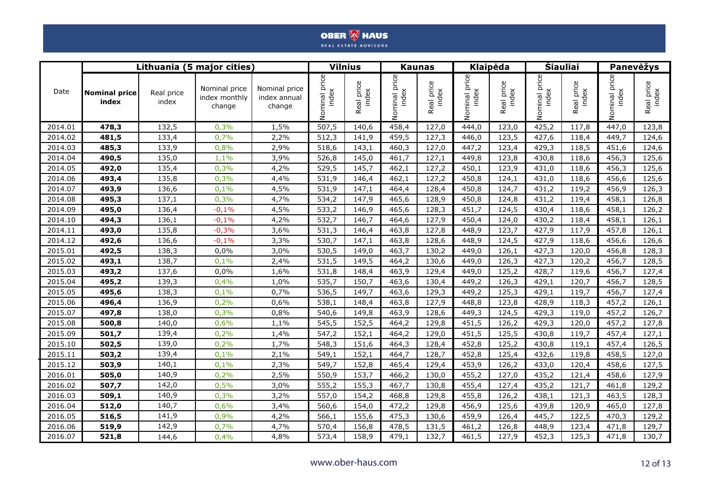|         |                               |                     | Lithuania (5 major cities)               |                                         |                        | <b>Vilnius</b>      |                           | <b>Kaunas</b>       |                           | <b>Klaipėda</b>     | <b>Siauliai</b>              |                     |                           | Panevėžys           |
|---------|-------------------------------|---------------------|------------------------------------------|-----------------------------------------|------------------------|---------------------|---------------------------|---------------------|---------------------------|---------------------|------------------------------|---------------------|---------------------------|---------------------|
| Date    | <b>Nominal price</b><br>index | Real price<br>index | Nominal price<br>index monthly<br>change | Nominal price<br>index annual<br>change | Nominal price<br>index | Real price<br>index | price<br>index<br>Nominal | Real price<br>index | price<br>Nominal<br>index | Real price<br>index | price<br>Nominal pr<br>index | Real price<br>index | price<br>index<br>Nominal | Real price<br>index |
| 2014.01 | 478,3                         | 132,5               | 0,3%                                     | 1,5%                                    | 507,5                  | 140,6               | 458,4                     | 127,0               | 444,0                     | 123,0               | 425,2                        | 117,8               | 447,0                     | 123,8               |
| 2014.02 | 481,5                         | 133,4               | 0,7%                                     | 2,2%                                    | 512,3                  | 141,9               | 459,5                     | 127,3               | 446,0                     | 123,5               | 427,6                        | 118,4               | 449,7                     | 124,6               |
| 2014.03 | 485,3                         | 133,9               | 0,8%                                     | 2,9%                                    | 518,6                  | 143,1               | 460,3                     | 127,0               | 447,2                     | 123,4               | 429,3                        | 118,5               | 451,6                     | 124,6               |
| 2014.04 | 490,5                         | 135,0               | 1,1%                                     | 3,9%                                    | 526,8                  | 145,0               | 461,7                     | 127,1               | 449,8                     | 123,8               | 430,8                        | 118,6               | 456,3                     | 125,6               |
| 2014.05 | 492,0                         | 135,4               | 0,3%                                     | 4,2%                                    | 529,5                  | 145,7               | 462,1                     | 127,2               | 450,1                     | 123,9               | 431,0                        | 118,6               | 456,3                     | 125,6               |
| 2014.06 | 493,4                         | 135,8               | 0,3%                                     | 4,4%                                    | 531,9                  | 146,4               | 462,1                     | 127,2               | 450,8                     | 124,1               | 431,0                        | 118,6               | 456,6                     | 125,6               |
| 2014.07 | 493,9                         | 136,6               | 0,1%                                     | 4,5%                                    | 531,9                  | 147,1               | 464,4                     | 128,4               | 450,8                     | 124,7               | 431,2                        | 119,2               | 456,9                     | 126,3               |
| 2014.08 | 495,3                         | 137,1               | 0,3%                                     | 4,7%                                    | 534,2                  | 147,9               | 465,6                     | 128,9               | 450,8                     | 124,8               | 431,2                        | 119,4               | 458,1                     | 126,8               |
| 2014.09 | 495,0                         | 136,4               | $-0,1%$                                  | 4,5%                                    | 533,2                  | 146,9               | 465,6                     | 128,3               | 451,7                     | 124,5               | 430,4                        | 118,6               | 458,1                     | 126,2               |
| 2014.10 | 494,3                         | 136,1               | $-0,1%$                                  | 4,2%                                    | 532,7                  | 146,7               | 464,6                     | 127,9               | 450,4                     | 124,0               | 430,2                        | 118,4               | 458,1                     | 126,1               |
| 2014.11 | 493,0                         | 135,8               | $-0,3%$                                  | 3,6%                                    | 531,3                  | 146,4               | 463,8                     | 127,8               | 448,9                     | 123,7               | 427,9                        | 117,9               | 457,8                     | 126,1               |
| 2014.12 | 492,6                         | 136,6               | $-0,1%$                                  | 3,3%                                    | 530,7                  | 147,1               | 463,8                     | 128,6               | 448,9                     | 124,5               | 427,9                        | 118,6               | 456,6                     | 126,6               |
| 2015.01 | 492,5                         | 138,3               | 0,0%                                     | 3,0%                                    | 530,5                  | 149,0               | 463,7                     | 130,2               | 449,0                     | 126,1               | 427,3                        | 120,0               | 456,8                     | 128,3               |
| 2015.02 | 493,1                         | 138,7               | 0,1%                                     | 2,4%                                    | 531,5                  | 149,5               | 464,2                     | 130,6               | 449,0                     | 126,3               | 427,3                        | 120,2               | 456,7                     | 128,5               |
| 2015.03 | 493,2                         | 137,6               | 0,0%                                     | 1,6%                                    | 531,8                  | 148,4               | 463,9                     | 129,4               | 449,0                     | 125,2               | 428,7                        | 119,6               | 456,7                     | 127,4               |
| 2015.04 | 495,2                         | 139,3               | 0,4%                                     | 1,0%                                    | 535,7                  | 150,7               | 463,6                     | 130,4               | 449,2                     | 126,3               | 429,1                        | 120,7               | 456,7                     | 128,5               |
| 2015.05 | 495,6                         | 138,3               | 0,1%                                     | 0,7%                                    | 536,5                  | 149,7               | 463,6                     | 129,3               | 449,2                     | 125,3               | 429,1                        | 119,7               | 456,7                     | 127,4               |
| 2015.06 | 496,4                         | 136,9               | 0,2%                                     | 0,6%                                    | 538,1                  | 148,4               | 463,8                     | 127,9               | 448,8                     | 123,8               | 428,9                        | 118,3               | 457,2                     | 126,1               |
| 2015.07 | 497,8                         | 138,0               | 0,3%                                     | 0,8%                                    | 540,6                  | 149,8               | 463,9                     | 128,6               | 449,3                     | 124,5               | 429,3                        | 119,0               | 457,2                     | 126,7               |
| 2015.08 | 500,8                         | 140,0               | 0,6%                                     | 1,1%                                    | 545,5                  | 152,5               | 464,2                     | 129,8               | 451,5                     | 126,2               | 429,3                        | 120,0               | 457,2                     | 127,8               |
| 2015.09 | 501,7                         | 139,4               | 0,2%                                     | 1,4%                                    | 547,2                  | 152,1               | 464,2                     | 129,0               | 451,5                     | 125,5               | 430,8                        | 119,7               | 457,4                     | 127,1               |
| 2015.10 | 502,5                         | 139,0               | 0,2%                                     | 1,7%                                    | 548,3                  | 151,6               | 464,3                     | 128,4               | 452,8                     | 125,2               | 430,8                        | 119,1               | 457,4                     | 126,5               |
| 2015.11 | 503,2                         | 139,4               | 0,1%                                     | 2,1%                                    | 549,1                  | 152,1               | 464,7                     | 128,7               | 452,8                     | 125,4               | 432,6                        | 119,8               | 458,5                     | 127,0               |
| 2015.12 | 503,9                         | 140,1               | 0,1%                                     | 2,3%                                    | 549,7                  | 152,8               | 465,4                     | 129,4               | 453,9                     | 126,2               | 433,0                        | 120,4               | 458,6                     | 127,5               |
| 2016.01 | 505,0                         | 140,9               | 0,2%                                     | 2,5%                                    | 550,9                  | 153,7               | 466,2                     | 130,0               | 455,2                     | 127,0               | 435,2                        | 121,4               | 458,6                     | 127,9               |
| 2016.02 | 507,7                         | 142,0               | 0,5%                                     | 3,0%                                    | 555,2                  | 155,3               | 467,7                     | 130,8               | 455,4                     | 127,4               | 435,2                        | 121,7               | 461,8                     | 129,2               |
| 2016.03 | 509,1                         | 140,9               | 0,3%                                     | 3,2%                                    | 557,0                  | 154,2               | 468,8                     | 129,8               | 455,8                     | 126,2               | 438,1                        | 121,3               | 463,5                     | 128,3               |
| 2016.04 | 512,0                         | 140,7               | 0,6%                                     | 3,4%                                    | 560,6                  | 154,0               | 472,2                     | 129,8               | 456,9                     | 125,6               | 439,8                        | 120,9               | 465,0                     | 127,8               |
| 2016.05 | 516,5                         | 141,9               | 0,9%                                     | 4,2%                                    | 566,1                  | 155,6               | 475,3                     | 130,6               | 459,9                     | 126,4               | 445,7                        | 122,5               | 470,3                     | 129,2               |
| 2016.06 | 519,9                         | 142,9               | 0,7%                                     | 4,7%                                    | 570,4                  | 156,8               | 478,5                     | 131,5               | 461,2                     | 126,8               | 448,9                        | 123,4               | 471,8                     | 129,7               |
| 2016.07 | 521,8                         | 144,6               | 0,4%                                     | 4,8%                                    | 573,4                  | 158,9               | 479,1                     | 132,7               | 461,5                     | 127,9               | 452,3                        | 125,3               | 471,8                     | 130,7               |